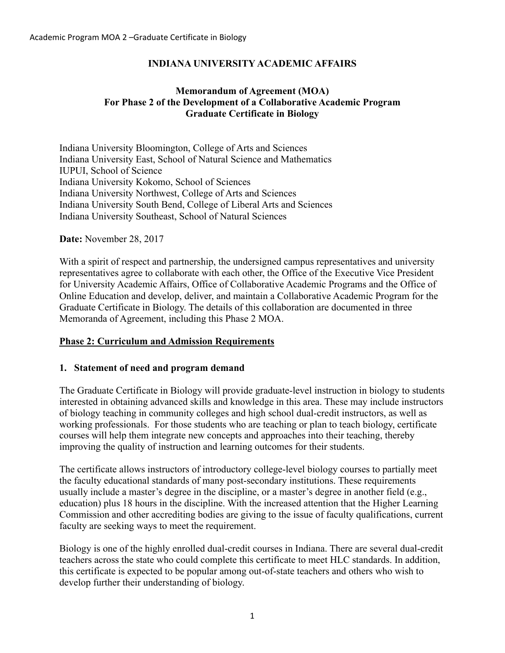# **INDIANA UNIVERSITY ACADEMIC AFFAIRS**

### **Memorandum of Agreement (MOA) For Phase 2 of the Development of a Collaborative Academic Program Graduate Certificate in Biology**

Indiana University Bloomington, College of Arts and Sciences Indiana University East, School of Natural Science and Mathematics IUPUI, School of Science Indiana University Kokomo, School of Sciences Indiana University Northwest, College of Arts and Sciences Indiana University South Bend, College of Liberal Arts and Sciences Indiana University Southeast, School of Natural Sciences

#### **Date:** November 28, 2017

With a spirit of respect and partnership, the undersigned campus representatives and university representatives agree to collaborate with each other, the Office of the Executive Vice President for University Academic Affairs, Office of Collaborative Academic Programs and the Office of Online Education and develop, deliver, and maintain a Collaborative Academic Program for the Graduate Certificate in Biology. The details of this collaboration are documented in three Memoranda of Agreement, including this Phase 2 MOA.

#### **Phase 2: Curriculum and Admission Requirements**

#### **1. Statement of need and program demand**

The Graduate Certificate in Biology will provide graduate-level instruction in biology to students interested in obtaining advanced skills and knowledge in this area. These may include instructors of biology teaching in community colleges and high school dual-credit instructors, as well as working professionals. For those students who are teaching or plan to teach biology, certificate courses will help them integrate new concepts and approaches into their teaching, thereby improving the quality of instruction and learning outcomes for their students.

The certificate allows instructors of introductory college-level biology courses to partially meet the faculty educational standards of many post-secondary institutions. These requirements usually include a master's degree in the discipline, or a master's degree in another field (e.g., education) plus 18 hours in the discipline. With the increased attention that the Higher Learning Commission and other accrediting bodies are giving to the issue of faculty qualifications, current faculty are seeking ways to meet the requirement.

Biology is one of the highly enrolled dual-credit courses in Indiana. There are several dual-credit teachers across the state who could complete this certificate to meet HLC standards. In addition, this certificate is expected to be popular among out-of-state teachers and others who wish to develop further their understanding of biology.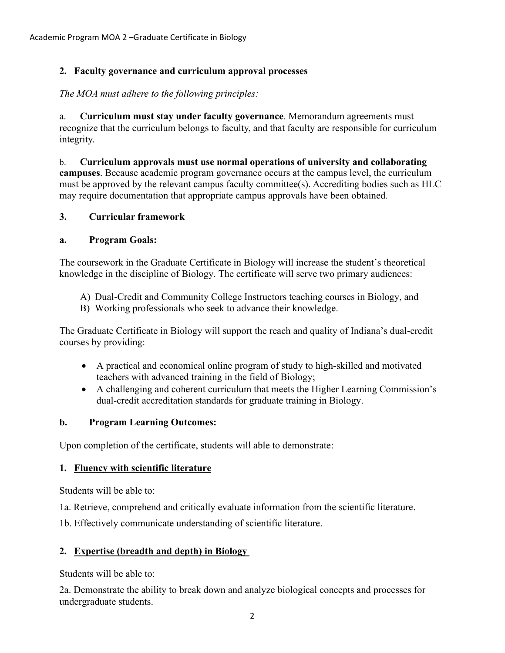# **2. Faculty governance and curriculum approval processes**

*The MOA must adhere to the following principles:*

a. **Curriculum must stay under faculty governance**. Memorandum agreements must recognize that the curriculum belongs to faculty, and that faculty are responsible for curriculum integrity.

b. **Curriculum approvals must use normal operations of university and collaborating campuses**. Because academic program governance occurs at the campus level, the curriculum must be approved by the relevant campus faculty committee(s). Accrediting bodies such as HLC may require documentation that appropriate campus approvals have been obtained.

### **3. Curricular framework**

#### **a. Program Goals:**

The coursework in the Graduate Certificate in Biology will increase the student's theoretical knowledge in the discipline of Biology. The certificate will serve two primary audiences:

- A) Dual-Credit and Community College Instructors teaching courses in Biology, and
- B) Working professionals who seek to advance their knowledge.

The Graduate Certificate in Biology will support the reach and quality of Indiana's dual-credit courses by providing:

- A practical and economical online program of study to high-skilled and motivated teachers with advanced training in the field of Biology;
- A challenging and coherent curriculum that meets the Higher Learning Commission's dual-credit accreditation standards for graduate training in Biology.

# **b. Program Learning Outcomes:**

Upon completion of the certificate, students will able to demonstrate:

# **1. Fluency with scientific literature**

Students will be able to:

1a. Retrieve, comprehend and critically evaluate information from the scientific literature.

1b. Effectively communicate understanding of scientific literature.

# **2. Expertise (breadth and depth) in Biology**

Students will be able to:

2a. Demonstrate the ability to break down and analyze biological concepts and processes for undergraduate students.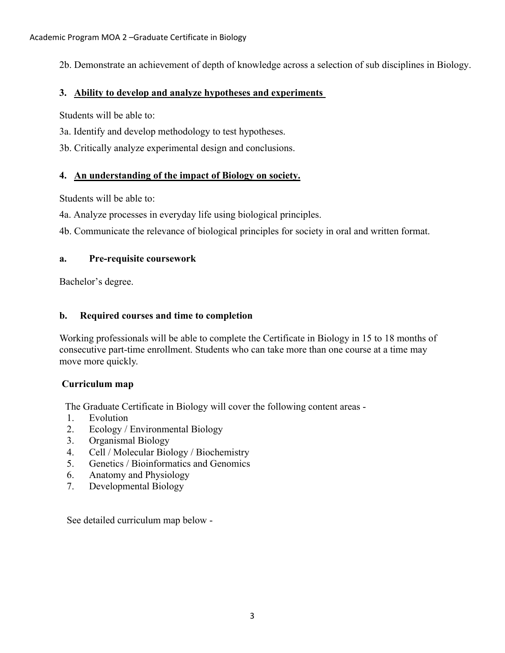2b. Demonstrate an achievement of depth of knowledge across a selection of sub disciplines in Biology.

# **3. Ability to develop and analyze hypotheses and experiments**

Students will be able to:

3a. Identify and develop methodology to test hypotheses.

3b. Critically analyze experimental design and conclusions.

# **4. An understanding of the impact of Biology on society.**

Students will be able to:

4a. Analyze processes in everyday life using biological principles.

4b. Communicate the relevance of biological principles for society in oral and written format.

### **a. Pre-requisite coursework**

Bachelor's degree.

### **b. Required courses and time to completion**

Working professionals will be able to complete the Certificate in Biology in 15 to 18 months of consecutive part-time enrollment. Students who can take more than one course at a time may move more quickly.

# **Curriculum map**

The Graduate Certificate in Biology will cover the following content areas -

- 1. Evolution
- 2. Ecology / Environmental Biology
- 3. Organismal Biology
- 4. Cell / Molecular Biology / Biochemistry
- 5. Genetics / Bioinformatics and Genomics
- 6. Anatomy and Physiology
- 7. Developmental Biology

See detailed curriculum map below -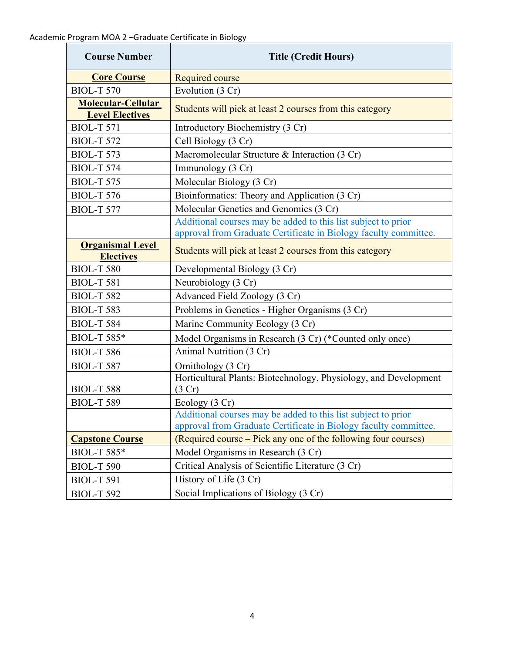| <b>Course Number</b>                                | <b>Title (Credit Hours)</b>                                                |
|-----------------------------------------------------|----------------------------------------------------------------------------|
| <b>Core Course</b>                                  | <b>Required course</b>                                                     |
| <b>BIOL-T 570</b>                                   | Evolution (3 Cr)                                                           |
| <b>Molecular-Cellular</b><br><b>Level Electives</b> | Students will pick at least 2 courses from this category                   |
| <b>BIOL-T 571</b>                                   | Introductory Biochemistry (3 Cr)                                           |
| <b>BIOL-T 572</b>                                   | Cell Biology (3 Cr)                                                        |
| <b>BIOL-T 573</b>                                   | Macromolecular Structure & Interaction (3 Cr)                              |
| <b>BIOL-T 574</b>                                   | Immunology (3 Cr)                                                          |
| <b>BIOL-T 575</b>                                   | Molecular Biology (3 Cr)                                                   |
| <b>BIOL-T 576</b>                                   | Bioinformatics: Theory and Application (3 Cr)                              |
| <b>BIOL-T 577</b>                                   | Molecular Genetics and Genomics (3 Cr)                                     |
|                                                     | Additional courses may be added to this list subject to prior              |
|                                                     | approval from Graduate Certificate in Biology faculty committee.           |
| <b>Organismal Level</b><br><b>Electives</b>         | Students will pick at least 2 courses from this category                   |
| <b>BIOL-T 580</b>                                   | Developmental Biology (3 Cr)                                               |
| <b>BIOL-T 581</b>                                   | Neurobiology (3 Cr)                                                        |
| <b>BIOL-T 582</b>                                   | Advanced Field Zoology (3 Cr)                                              |
| <b>BIOL-T 583</b>                                   | Problems in Genetics - Higher Organisms (3 Cr)                             |
| <b>BIOL-T 584</b>                                   | Marine Community Ecology (3 Cr)                                            |
| <b>BIOL-T 585*</b>                                  | Model Organisms in Research (3 Cr) (*Counted only once)                    |
| <b>BIOL-T 586</b>                                   | Animal Nutrition (3 Cr)                                                    |
| <b>BIOL-T 587</b>                                   | Ornithology (3 Cr)                                                         |
| <b>BIOL-T 588</b>                                   | Horticultural Plants: Biotechnology, Physiology, and Development<br>(3 Cr) |
| <b>BIOL-T 589</b>                                   | Ecology (3 Cr)                                                             |
|                                                     | Additional courses may be added to this list subject to prior              |
|                                                     | approval from Graduate Certificate in Biology faculty committee.           |
| <b>Capstone Course</b>                              | (Required course – Pick any one of the following four courses)             |
| <b>BIOL-T 585*</b>                                  | Model Organisms in Research (3 Cr)                                         |
| <b>BIOL-T 590</b>                                   | Critical Analysis of Scientific Literature (3 Cr)                          |
| <b>BIOL-T 591</b>                                   | History of Life (3 Cr)                                                     |
| <b>BIOL-T 592</b>                                   | Social Implications of Biology (3 Cr)                                      |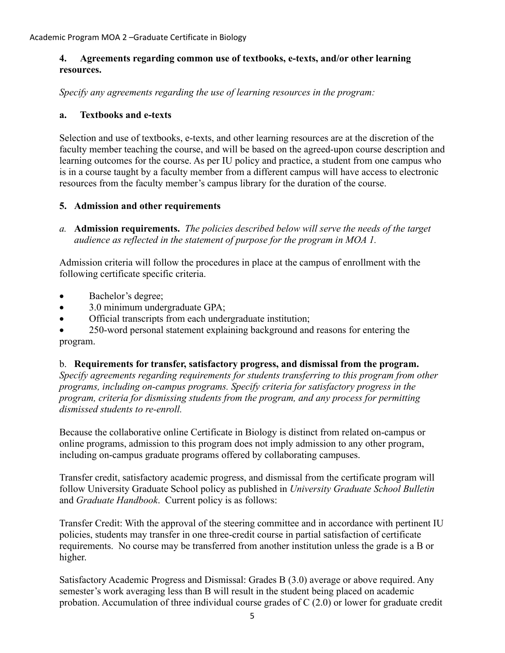### **4. Agreements regarding common use of textbooks, e-texts, and/or other learning resources.**

*Specify any agreements regarding the use of learning resources in the program:*

### **a. Textbooks and e-texts**

Selection and use of textbooks, e-texts, and other learning resources are at the discretion of the faculty member teaching the course, and will be based on the agreed-upon course description and learning outcomes for the course. As per IU policy and practice, a student from one campus who is in a course taught by a faculty member from a different campus will have access to electronic resources from the faculty member's campus library for the duration of the course.

### **5. Admission and other requirements**

*a.* **Admission requirements.** *The policies described below will serve the needs of the target audience as reflected in the statement of purpose for the program in MOA 1.*

Admission criteria will follow the procedures in place at the campus of enrollment with the following certificate specific criteria.

- Bachelor's degree;
- 3.0 minimum undergraduate GPA;
- Official transcripts from each undergraduate institution;

• 250-word personal statement explaining background and reasons for entering the program.

#### b. **Requirements for transfer, satisfactory progress, and dismissal from the program.**

*Specify agreements regarding requirements for students transferring to this program from other programs, including on-campus programs. Specify criteria for satisfactory progress in the program, criteria for dismissing students from the program, and any process for permitting dismissed students to re-enroll.*

Because the collaborative online Certificate in Biology is distinct from related on-campus or online programs, admission to this program does not imply admission to any other program, including on-campus graduate programs offered by collaborating campuses.

Transfer credit, satisfactory academic progress, and dismissal from the certificate program will follow University Graduate School policy as published in *University Graduate School Bulletin*  and *Graduate Handbook*. Current policy is as follows:

Transfer Credit: With the approval of the steering committee and in accordance with pertinent IU policies, students may transfer in one three-credit course in partial satisfaction of certificate requirements. No course may be transferred from another institution unless the grade is a B or higher.

Satisfactory Academic Progress and Dismissal: Grades B (3.0) average or above required. Any semester's work averaging less than B will result in the student being placed on academic probation. Accumulation of three individual course grades of C (2.0) or lower for graduate credit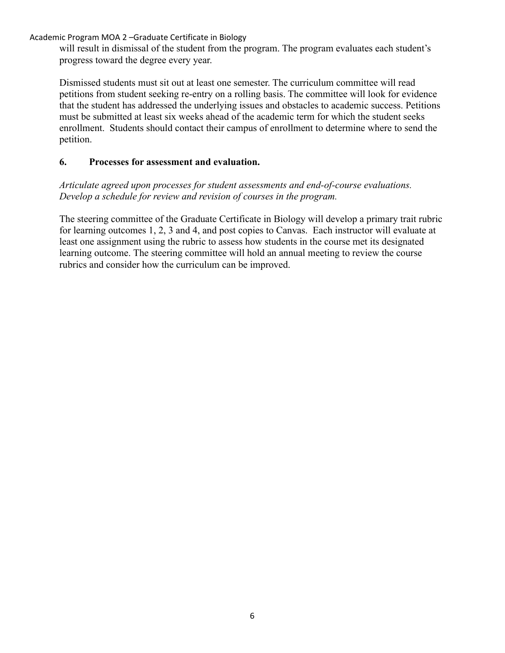Academic Program MOA 2 –Graduate Certificate in Biology

will result in dismissal of the student from the program. The program evaluates each student's progress toward the degree every year.

Dismissed students must sit out at least one semester. The curriculum committee will read petitions from student seeking re-entry on a rolling basis. The committee will look for evidence that the student has addressed the underlying issues and obstacles to academic success. Petitions must be submitted at least six weeks ahead of the academic term for which the student seeks enrollment. Students should contact their campus of enrollment to determine where to send the petition.

### **6. Processes for assessment and evaluation.**

*Articulate agreed upon processes for student assessments and end-of-course evaluations. Develop a schedule for review and revision of courses in the program.*

The steering committee of the Graduate Certificate in Biology will develop a primary trait rubric for learning outcomes 1, 2, 3 and 4, and post copies to Canvas. Each instructor will evaluate at least one assignment using the rubric to assess how students in the course met its designated learning outcome. The steering committee will hold an annual meeting to review the course rubrics and consider how the curriculum can be improved.